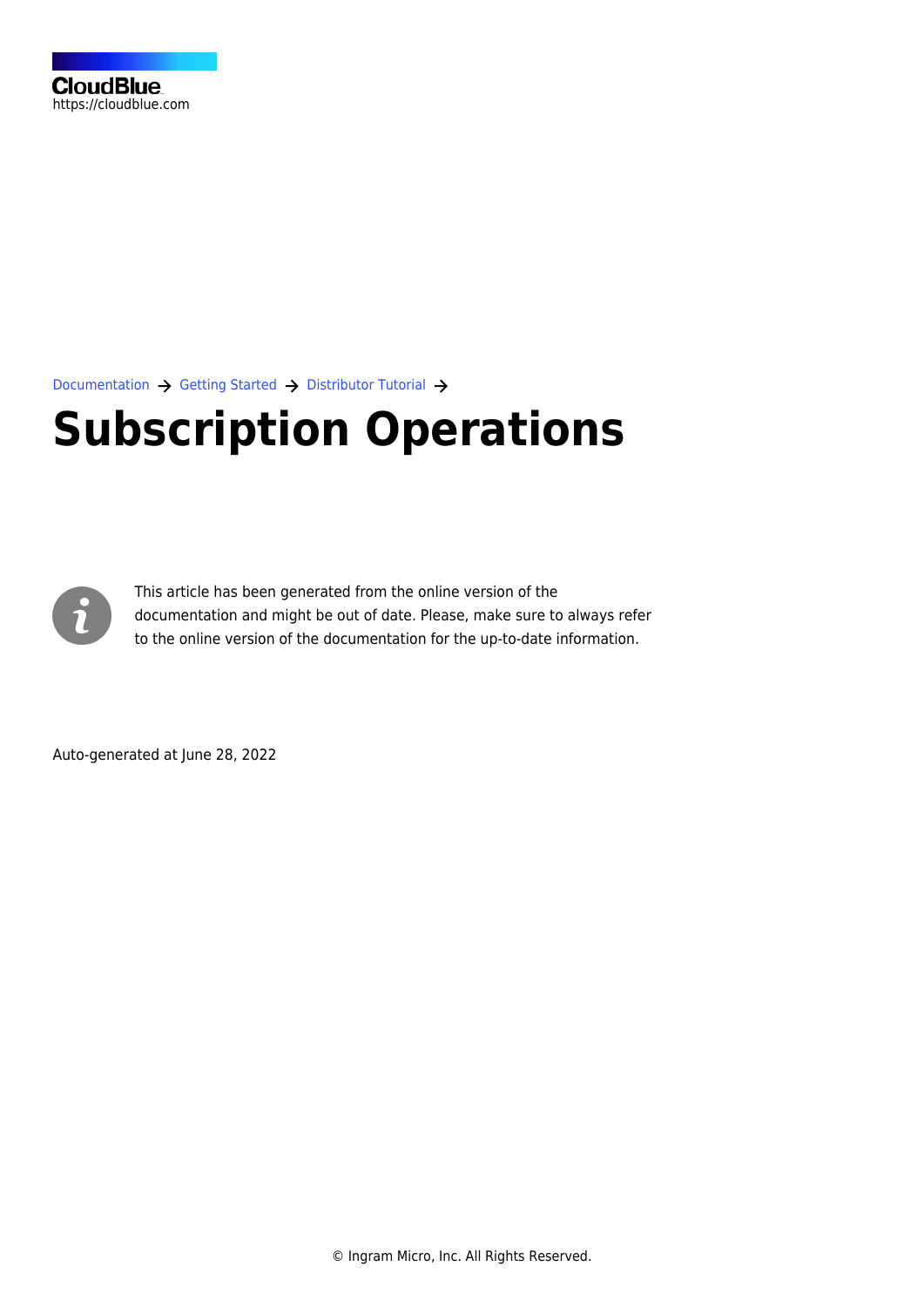

[Documentation](https://connect.cloudblue.com/documentation)  $\rightarrow$  [Getting Started](https://connect.cloudblue.com/community/getting-started/)  $\rightarrow$  [Distributor Tutorial](https://connect.cloudblue.com/community/getting-started/distributor/)  $\rightarrow$ 

# **[Subscription Operations](https://connect.cloudblue.com/community/getting-started/distributor/subscriptions/)**



This article has been generated from the online version of the documentation and might be out of date. Please, make sure to always refer to the online version of the documentation for the up-to-date information.

Auto-generated at June 28, 2022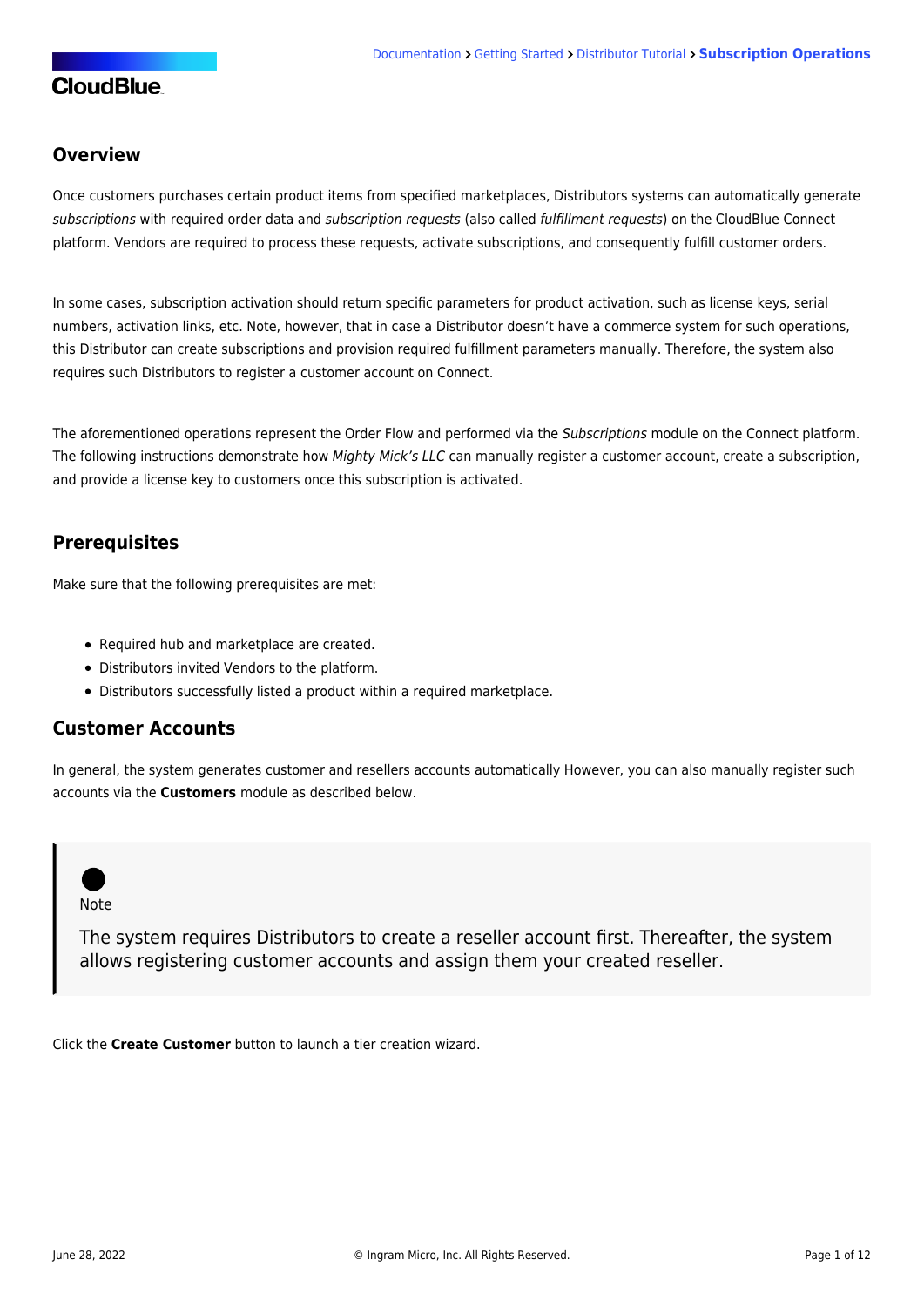### **Overview**

Once customers purchases certain product items from specified marketplaces, Distributors systems can automatically generate subscriptions with required order data and subscription requests (also called fulfillment requests) on the CloudBlue Connect platform. Vendors are required to process these requests, activate subscriptions, and consequently fulfill customer orders.

In some cases, subscription activation should return specific parameters for product activation, such as license keys, serial numbers, activation links, etc. Note, however, that in case a Distributor doesn't have a commerce system for such operations, this Distributor can create subscriptions and provision required fulfillment parameters manually. Therefore, the system also requires such Distributors to register a customer account on Connect.

The aforementioned operations represent the [Order Flow](https://connect.cloudblue.com/community/getting-started/#Business_Flows) and performed via the Subscriptions module on the Connect platform. The following instructions demonstrate how Mighty Mick's LLC can manually register a customer account, create a subscription, and provide a license key to customers once this subscription is activated.

### **Prerequisites**

Make sure that the following prerequisites are met:

- Required [hub](https://connect.cloudblue.com/community/getting-started/distributor/#Hub_Registration) and [marketplace](https://connect.cloudblue.com/community/getting-started/distributor/#Marketplace_Creation) are created.
- [Distributors invited Vendors to the platform](https://connect.cloudblue.com/community/getting-started/distributor/partners/).
- [Distributors successfully listed a product within a required marketplace.](https://connect.cloudblue.com/community/getting-started/distributor/listings/)

### **Customer Accounts**

In general, the system generates customer and resellers accounts automatically However, you can also manually register such accounts via the **Customers** module as described below.



The system requires Distributors to create a reseller account first. Thereafter, the system allows registering customer accounts and assign them your created reseller.

Click the **Create Customer** button to launch a tier creation wizard.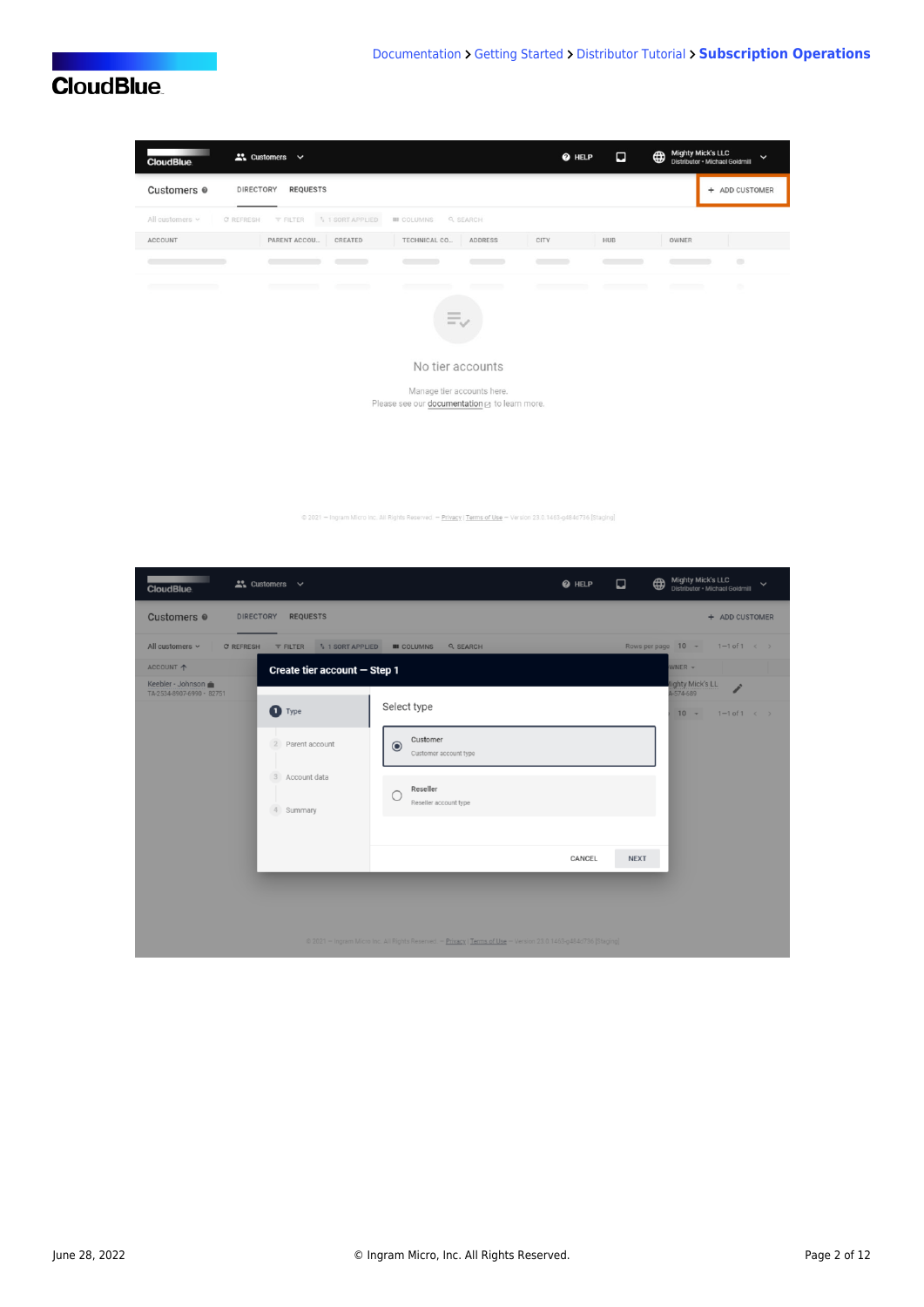| --<br><b>CloudBlue</b>          | $\frac{1}{2}$ Customers $\vee$    |                                                                             | @ HELP | ⊕<br>$\Box$ | <b>Mighty Mick's LLC</b> | $\check{ }$<br>Distributor - Michael Goldmill |
|---------------------------------|-----------------------------------|-----------------------------------------------------------------------------|--------|-------------|--------------------------|-----------------------------------------------|
| Customers @<br><b>DIRECTORY</b> | <b>REQUESTS</b>                   |                                                                             |        |             |                          | + ADD CUSTOMER                                |
| All customers v<br>C REFRESH    | 1 1 SORT APPLIED<br><b>FILTER</b> | <b>III</b> COLUMNS<br>Q SEARCH                                              |        |             |                          |                                               |
| ACCOUNT                         | PARENT ACCOU<br>CREATED           | TECHNICAL CO<br>ADDRESS                                                     | CITY   | HUB         | OWNER                    |                                               |
|                                 |                                   |                                                                             |        |             |                          | $\circ$                                       |
|                                 |                                   |                                                                             |        |             | $-$                      | <b>CO</b>                                     |
|                                 |                                   | $\equiv$                                                                    |        |             |                          |                                               |
|                                 |                                   | No tier accounts                                                            |        |             |                          |                                               |
|                                 |                                   | Manage tier accounts here.<br>Please see our documentation ø to learn more. |        |             |                          |                                               |

@ 2021 - Ingram Micro Inc. All Rights Reserved. - Privacy | Terms of Use - Version 23.0.1463-9484d736 [Staging]

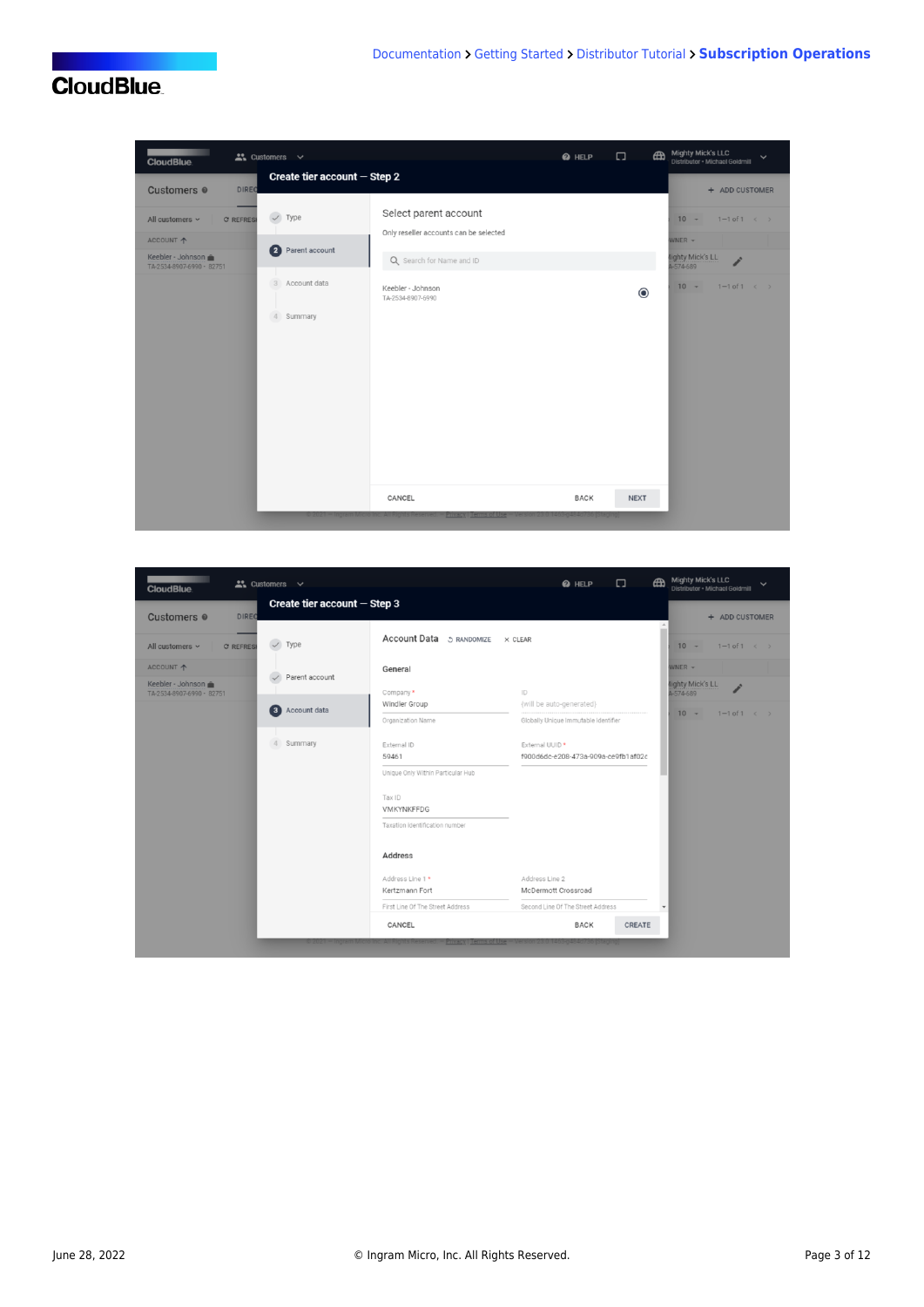

| <b>CloudBlue</b>                               | $\frac{1}{2}$ Customers $\vee$               |                                                                                                                                | ⊕<br>$\Box$<br><b>@</b> HELP                                     | <b>Mighty Mick's LLC</b><br>Distributor . Michael Goldmill |
|------------------------------------------------|----------------------------------------------|--------------------------------------------------------------------------------------------------------------------------------|------------------------------------------------------------------|------------------------------------------------------------|
| Customers <sup>®</sup>                         | Create tier account - Step 3<br><b>DIREC</b> |                                                                                                                                |                                                                  | + ADD CUSTOMER                                             |
| All customers v<br><b>C REFRES</b>             | $\checkmark$ Type                            | Account Data 5 RANDOMIZE                                                                                                       | $\times$ CLEAR                                                   | $10 -$<br>$1 - 1$ of $1 \leq$                              |
| <b>ACCOUNT 个</b>                               | Parent account                               | General                                                                                                                        |                                                                  | WNER -                                                     |
| Keebler - Johnson<br>TA-2534-8907-6990 · 82751 |                                              | Company*                                                                                                                       | $\mathsf{ID}$                                                    | <b>lighty Mick's LL</b><br>A-574-689                       |
|                                                | $\bullet$<br>Account data                    | Windler Group<br>Organization Name                                                                                             | {will be auto-generated}<br>Globally Unique Immutable Identifier | $10 -$<br>$1 - 1$ of $1 \leq$                              |
|                                                | Summary<br>4                                 | External ID<br>59461<br>Unique Only Within Particular Hub<br>Tax ID<br>VMKYNKFFDG<br>Taxation identification number<br>Address | External UUID *<br>f900d6dc-e208-473a-909a-ce9fb1af02c           |                                                            |
|                                                |                                              | Address Line 1 *                                                                                                               | Address Line 2                                                   |                                                            |
|                                                |                                              | Kertzmann Fort                                                                                                                 | McDermott Crossroad                                              |                                                            |
|                                                |                                              | First Line Of The Street Address                                                                                               | Second Line Of The Street Address                                |                                                            |
|                                                |                                              | CANCEL                                                                                                                         | CREATE<br><b>BACK</b>                                            |                                                            |
|                                                |                                              |                                                                                                                                |                                                                  |                                                            |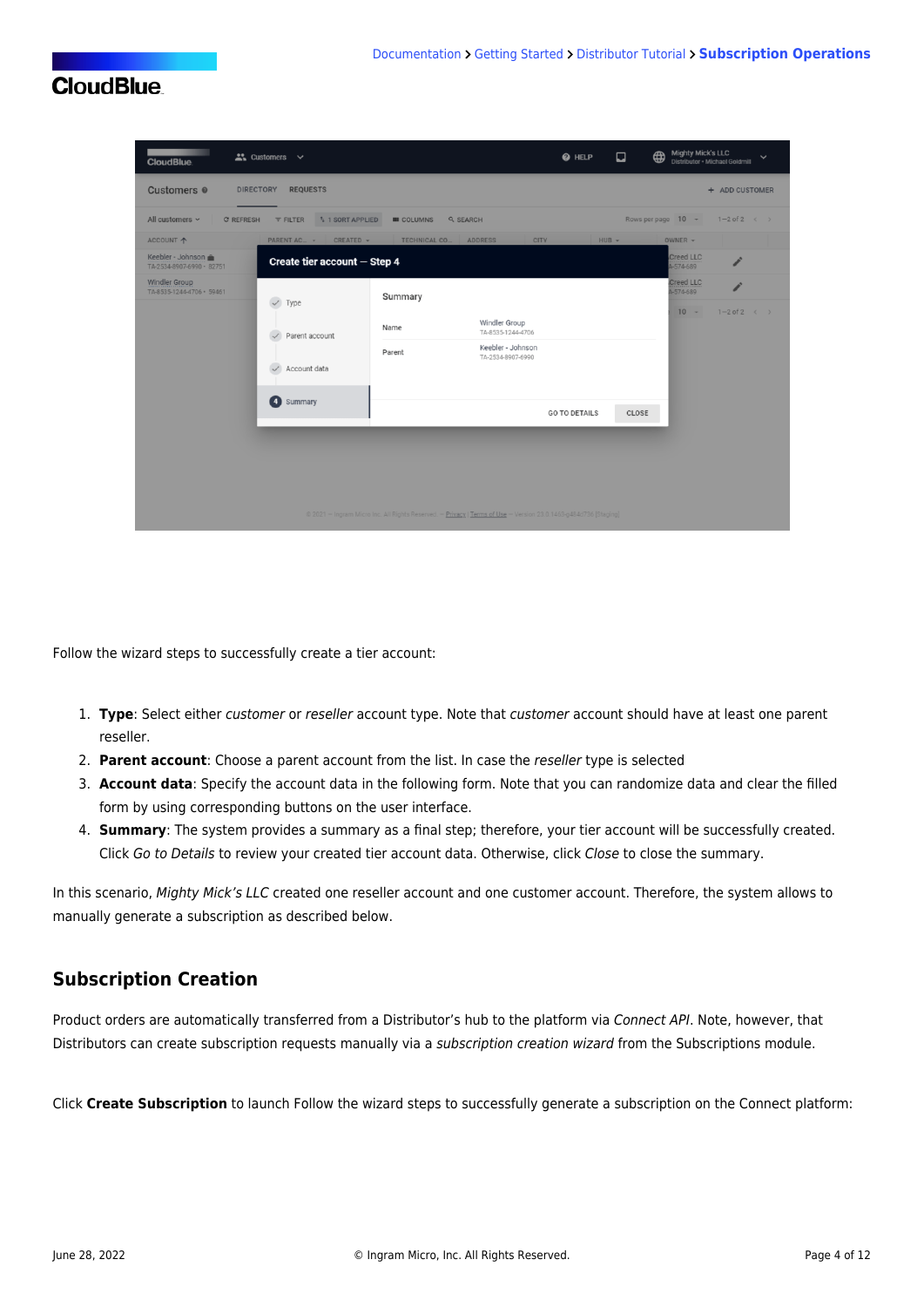| <b>CloudBlue</b>                               | $\frac{1}{2}$ Customers $\vee$                            |                                                                                                                 |                                        | <b>@</b> HELP        | ⊡       | <b>Mighty Mick's LLC</b><br>⊕ | Distributor . Michael Goldmill |  |
|------------------------------------------------|-----------------------------------------------------------|-----------------------------------------------------------------------------------------------------------------|----------------------------------------|----------------------|---------|-------------------------------|--------------------------------|--|
| Customers <sup>o</sup>                         | <b>DIRECTORY</b><br><b>REQUESTS</b>                       |                                                                                                                 |                                        |                      |         |                               | + ADD CUSTOMER                 |  |
| All customers $\sim$                           | <b>C REFRESH</b><br><b>1 1 SORT APPLIED</b><br>$F$ FILTER | <b>III</b> COLUMNS<br>Q SEARCH                                                                                  |                                        |                      |         | Rows per page 10 -            | $1 - 2 of 2 \leftarrow$        |  |
| ACCOUNT 个                                      | PARENT AC_ -<br>CREATED *                                 | TECHNICAL CO                                                                                                    | <b>ADDRESS</b><br><b>CITY</b>          |                      | $HUB -$ | OWNER -                       |                                |  |
| Keebler - Johnson<br>TA-2534-8907-6990 · 82751 | Create tier account - Step 4                              |                                                                                                                 |                                        |                      |         | Creed LLC<br>A-574-689        |                                |  |
| Windler Group<br>TA-8535-1244-4706 · 59461     |                                                           | Summary                                                                                                         |                                        |                      |         | Creed LLC<br>4-574-689        |                                |  |
|                                                | $\checkmark$<br>Type<br>Parent account                    | Name                                                                                                            | Windler Group<br>TA-8535-1244-4706     |                      |         | $10 -$                        | $1-2$ of $2 \leftarrow$        |  |
|                                                | Account data                                              | Parent                                                                                                          | Keebler - Johnson<br>TA-2534-8907-6990 |                      |         |                               |                                |  |
|                                                | $\blacksquare$<br>Summary                                 |                                                                                                                 |                                        | <b>GO TO DETAILS</b> | CLOSE   |                               |                                |  |
|                                                |                                                           |                                                                                                                 |                                        |                      |         |                               |                                |  |
|                                                |                                                           | © 2021 - Ingram Micro Inc. All Rights Reserved. - Privacy   Terms of Use - Version 23.0.1463-g484d736 [Staging] |                                        |                      |         |                               |                                |  |

Follow the wizard steps to successfully create a tier account:

- 1. **Type**: Select either customer or reseller account type. Note that customer account should have at least one parent reseller.
- 2. **Parent account**: Choose a parent account from the list. In case the reseller type is selected
- 3. **Account data**: Specify the account data in the following form. Note that you can randomize data and clear the filled form by using corresponding buttons on the user interface.
- 4. **Summary**: The system provides a summary as a final step; therefore, your tier account will be successfully created. Click Go to Details to review your created tier account data. Otherwise, click Close to close the summary.

In this scenario, Mighty Mick's LLC created one reseller account and one customer account. Therefore, the system allows to manually generate a subscription as described below.

### **Subscription Creation**

Product orders are automatically transferred from a Distributor's hub to the platform via Connect API. Note, however, that Distributors can create subscription requests manually via a subscription creation wizard from the Subscriptions module.

Click **Create Subscription** to launch Follow the wizard steps to successfully generate a subscription on the Connect platform: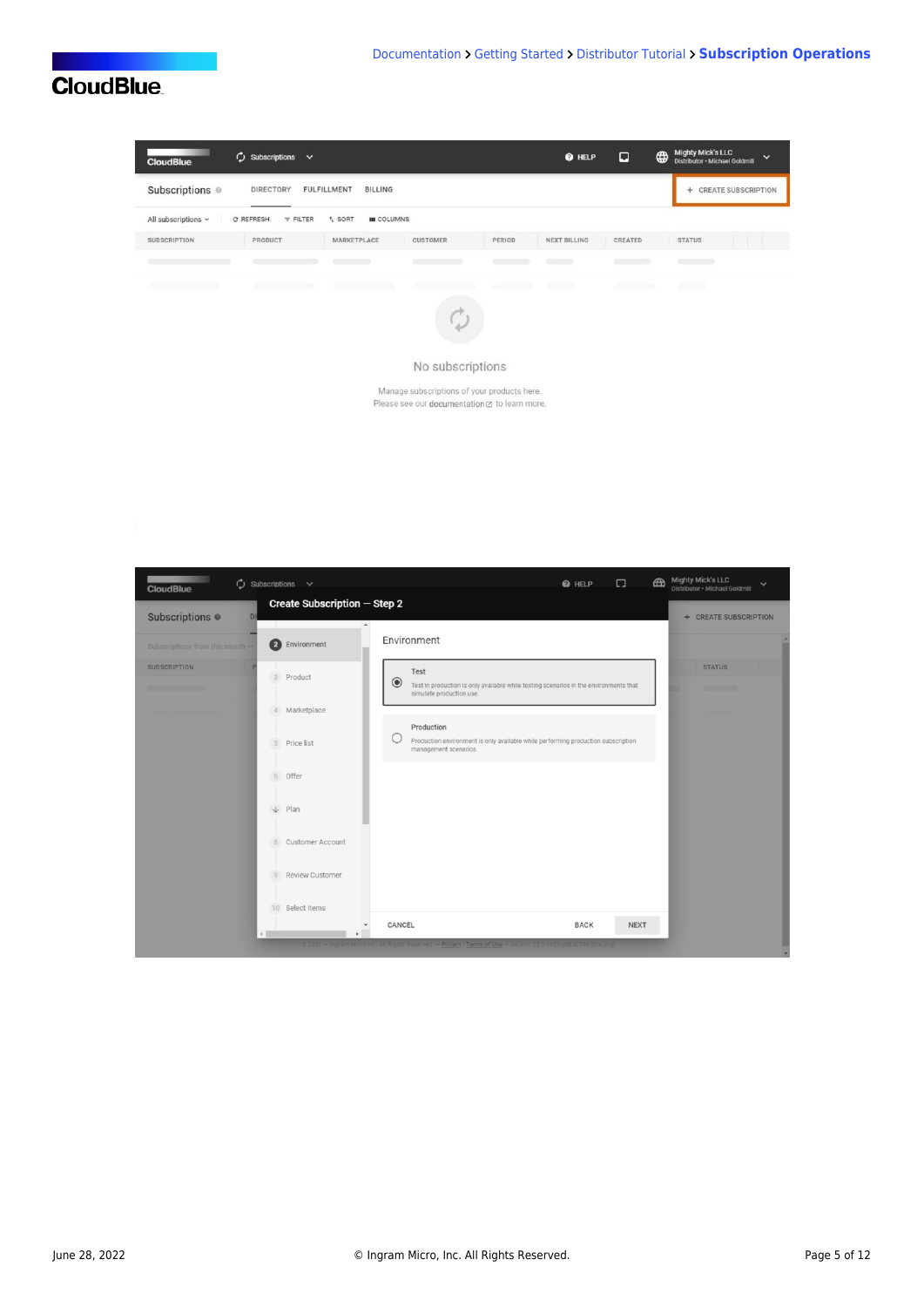| <b>CloudBlue</b>    | $\circ$ Subscriptions<br>$\checkmark$ |                                |                                                                                              |        | $Q$ HELP            | ⊕<br>$\Box$ | <b>Mighty Mick's LLC</b><br>$\checkmark$<br><b>Distributor - Michael Goldmill</b> |
|---------------------|---------------------------------------|--------------------------------|----------------------------------------------------------------------------------------------|--------|---------------------|-------------|-----------------------------------------------------------------------------------|
| Subscriptions ©     | DIRECTORY                             | <b>FULFILLMENT</b><br>BILLING  |                                                                                              |        |                     |             | <b>CREATE SUBSCRIPTION</b><br>$^{+}$                                              |
| All subscriptions v | C REFRESH<br>$\overline{\tau}$ FILTER | $L$ SORT<br><b>III</b> COLUMNS |                                                                                              |        |                     |             |                                                                                   |
| SUBSCRIPTION        | PRODUCT                               | MARKETPLACE                    | CUSTOMER                                                                                     | PERIOD | <b>NEXT BILLING</b> | CREATED     | <b>STATUS</b>                                                                     |
|                     |                                       | <b>Contract Contract</b>       |                                                                                              |        | $\sim$ $\sim$       |             | $\sim$ $\sim$ $\sim$                                                              |
|                     |                                       |                                |                                                                                              |        | gine and the        |             | attended.                                                                         |
|                     |                                       |                                |                                                                                              |        |                     |             |                                                                                   |
|                     |                                       |                                |                                                                                              |        |                     |             |                                                                                   |
|                     |                                       |                                | No subscriptions                                                                             |        |                     |             |                                                                                   |
|                     |                                       |                                |                                                                                              |        |                     |             |                                                                                   |
|                     |                                       |                                | Manage subscriptions of your products here.<br>Please see our documentation a to learn more. |        |                     |             |                                                                                   |

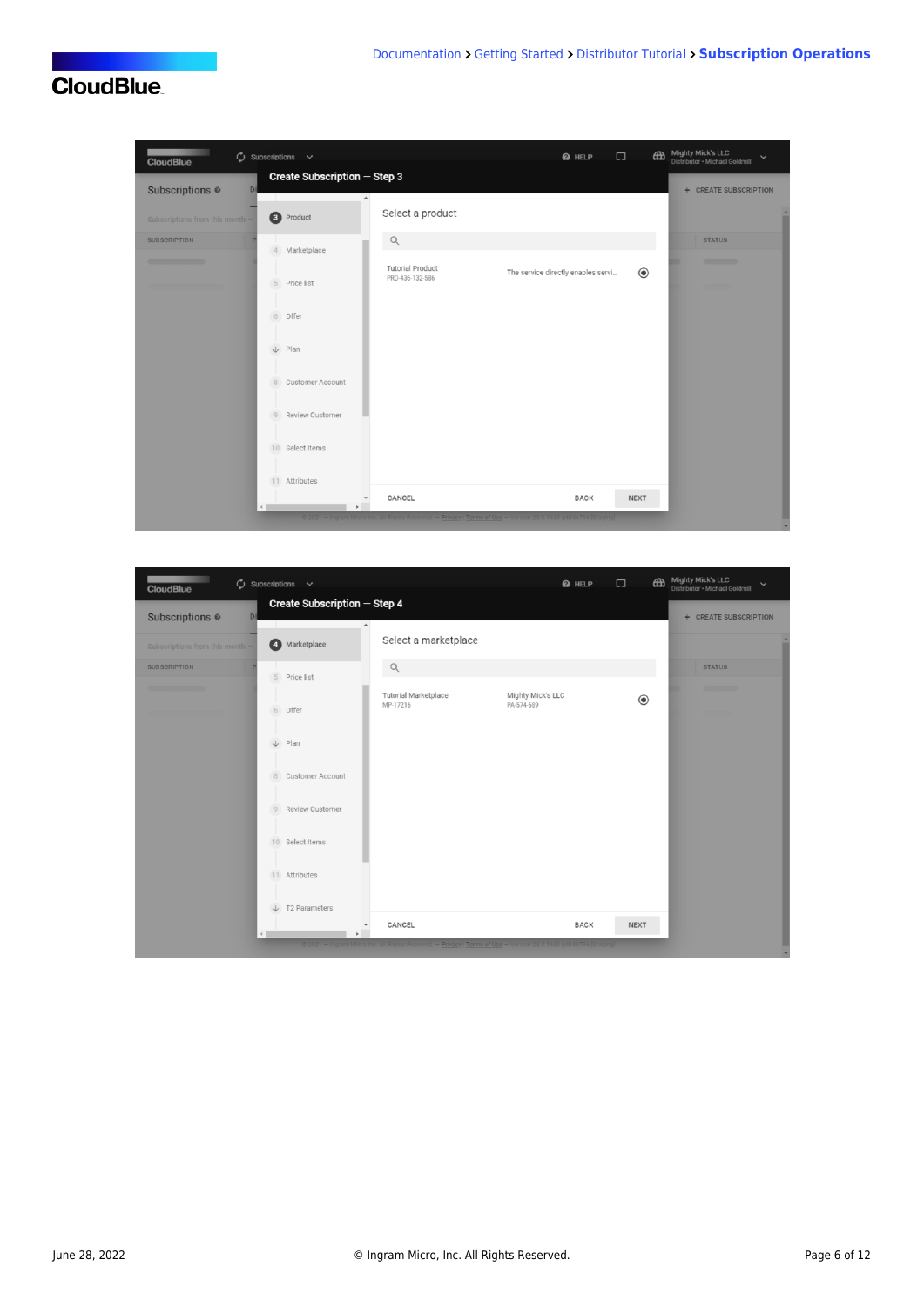| <b>CloudBlue</b>                 | $\bigcirc$ Subscriptions $\vee$                  |                                                                                                                 | @ HELP                             | ⊕<br>$\Box$    | <b>Mighty Mick's LLC</b><br>$\checkmark$<br>Distributor · Michael Goldmill |
|----------------------------------|--------------------------------------------------|-----------------------------------------------------------------------------------------------------------------|------------------------------------|----------------|----------------------------------------------------------------------------|
| Subscriptions <sup>o</sup><br>DI | Create Subscription - Step 3<br>$\blacktriangle$ |                                                                                                                 |                                    |                | + CREATE SUBSCRIPTION                                                      |
| Subscriptions from this month v  | <sup>3</sup> Product                             | Select a product                                                                                                |                                    |                |                                                                            |
| <b>SUBSCRIPTION</b>              | Marketplace<br>4                                 | $\alpha$                                                                                                        |                                    |                | <b>STATUS</b>                                                              |
| <u>a sa sa sa sa sa</u>          | Price list<br>5                                  | <b>Tutorial Product</b><br>PRD-436-132-586                                                                      | The service directly enables servi | $\circledcirc$ | <b>Contract Contract</b><br>n                                              |
|                                  | Offer<br>6                                       |                                                                                                                 |                                    |                |                                                                            |
|                                  | $\downarrow$<br>Plan                             |                                                                                                                 |                                    |                |                                                                            |
|                                  | Customer Account<br>8                            |                                                                                                                 |                                    |                |                                                                            |
|                                  | Review Customer<br>9                             |                                                                                                                 |                                    |                |                                                                            |
|                                  | 10 Select Items                                  |                                                                                                                 |                                    |                |                                                                            |
|                                  | 11<br>Attributes<br>$\mathbf{r}$<br>$\leftarrow$ | CANCEL                                                                                                          | <b>BACK</b>                        | <b>NEXT</b>    |                                                                            |
|                                  |                                                  | © 2021 - Ingram Micro Inc. All Rights Reserved. - Privacy   Terms of Use - Version 23.0.1463-9484d736 [Staging] |                                    |                |                                                                            |

| <b>CloudBlue</b>                | $\circ$ Subscriptions $\vee$ |                              |                                                                                                               | @ HELP                          | $\Box$         | $\bigoplus$ | Mighty Mick's LLC<br>Distributor - Michael Goldmill |
|---------------------------------|------------------------------|------------------------------|---------------------------------------------------------------------------------------------------------------|---------------------------------|----------------|-------------|-----------------------------------------------------|
| Subscriptions <sup>o</sup>      | D1                           | Create Subscription - Step 4 | $\blacktriangle$                                                                                              |                                 |                |             | + CREATE SUBSCRIPTION                               |
| Subscriptions from this month v |                              | Marketplace                  | Select a marketplace                                                                                          |                                 |                |             |                                                     |
| <b>SUBSCRIPTION</b>             |                              | 5 Price list                 | $\mathsf Q$                                                                                                   |                                 |                |             | <b>STATUS</b>                                       |
|                                 |                              | Offer<br>6                   | Tutorial Marketplace<br>MP-17216                                                                              | Mighty Mick's LLC<br>PA-574-689 | $\circledcirc$ |             |                                                     |
|                                 |                              | Plan<br>$\downarrow$         |                                                                                                               |                                 |                |             |                                                     |
|                                 | 8                            | Customer Account             |                                                                                                               |                                 |                |             |                                                     |
|                                 | 9                            | Review Customer              |                                                                                                               |                                 |                |             |                                                     |
|                                 |                              | 10 Select Items              |                                                                                                               |                                 |                |             |                                                     |
|                                 |                              | 11 Attributes                |                                                                                                               |                                 |                |             |                                                     |
|                                 | $\downarrow$                 | T2 Parameters                |                                                                                                               |                                 |                |             |                                                     |
|                                 |                              | $\mathbf{r}$                 | CANCEL                                                                                                        | <b>BACK</b>                     | <b>NEXT</b>    |             |                                                     |
|                                 |                              |                              | 2021 - Ingram Micro Inc. All Rights Reserved. - Privacy   Terms of Use - Version 23.0.1463-g484d736   Staging |                                 |                |             |                                                     |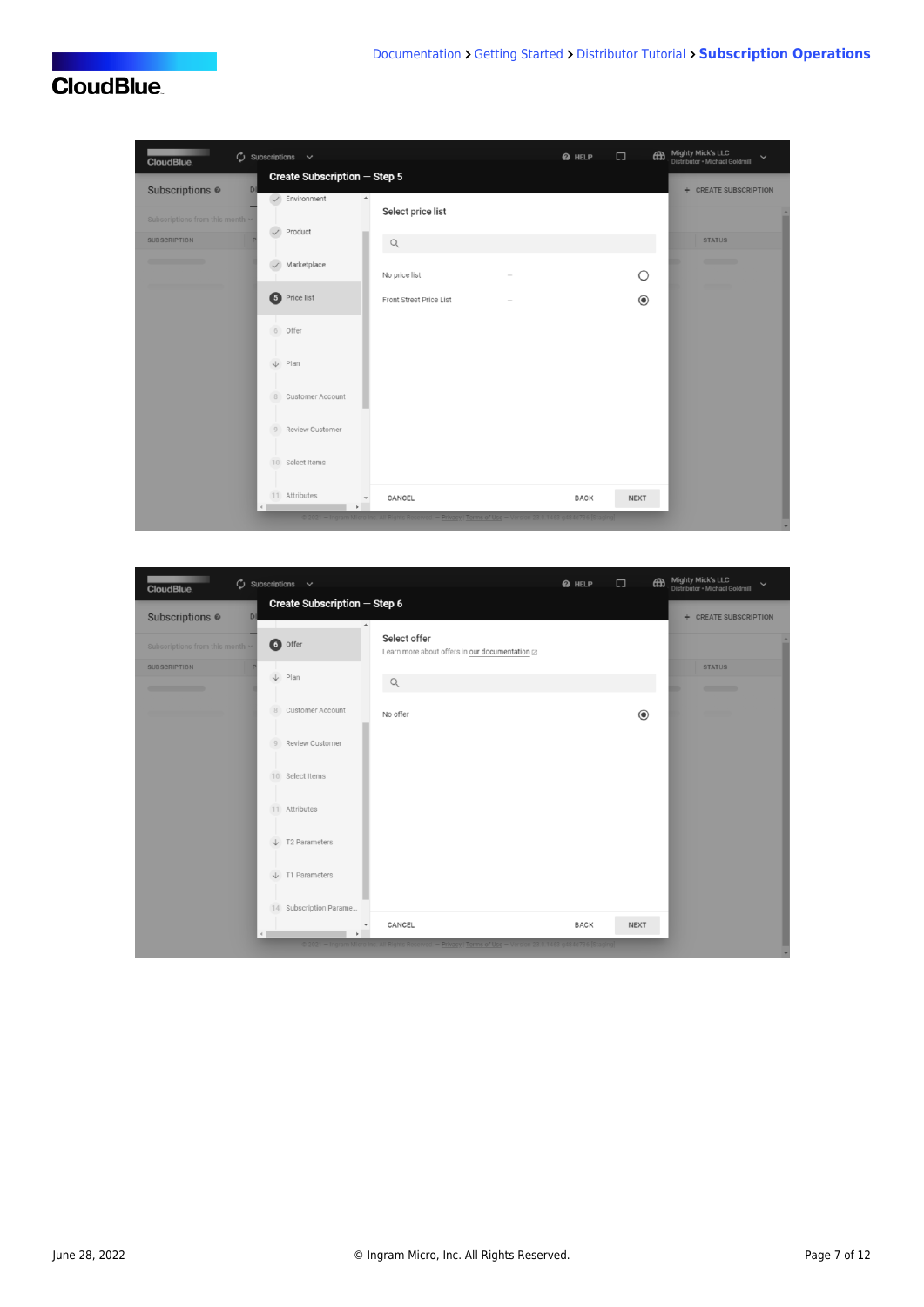| CloudBlue.                      | $\circ$ Subscriptions $\vee$                          |                                                                                                              | @ HELP      | $\Box$         | Mighty Mick's LLC<br>Distributor - Michael Goldmill<br>$\ddotmark$ |
|---------------------------------|-------------------------------------------------------|--------------------------------------------------------------------------------------------------------------|-------------|----------------|--------------------------------------------------------------------|
| Subscriptions <sup>o</sup>      | <b>Create Subscription - Step 5</b><br>D <sub>1</sub> |                                                                                                              |             |                | + CREATE SUBSCRIPTION                                              |
|                                 | $\checkmark$ Environment                              | $\blacktriangle$<br>Select price list                                                                        |             |                |                                                                    |
| Subscriptions from this month v | $\checkmark$<br>Product                               |                                                                                                              |             |                |                                                                    |
| <b>SUBSCRIPTION</b>             |                                                       | $\mathsf{Q}$                                                                                                 |             |                | <b>STATUS</b>                                                      |
|                                 | Marketplace<br>$\checkmark$                           | No price list                                                                                                |             | О              | $\overline{\phantom{a}}$                                           |
|                                 | <b>6</b> Price list                                   | Front Street Price List                                                                                      |             | $\circledcirc$ |                                                                    |
|                                 |                                                       |                                                                                                              |             |                |                                                                    |
|                                 | Offer<br>6                                            |                                                                                                              |             |                |                                                                    |
|                                 | $\downarrow$<br>Plan                                  |                                                                                                              |             |                |                                                                    |
|                                 | Customer Account<br>8                                 |                                                                                                              |             |                |                                                                    |
|                                 | Review Customer<br>9                                  |                                                                                                              |             |                |                                                                    |
|                                 |                                                       |                                                                                                              |             |                |                                                                    |
|                                 | 10 Select Items                                       |                                                                                                              |             |                |                                                                    |
|                                 | 11 Attributes<br>$\overline{\phantom{a}}$<br>$\,$     | CANCEL                                                                                                       | <b>BACK</b> | <b>NEXT</b>    |                                                                    |
|                                 |                                                       | 2021 - Ingram Micro Inc. All Rights Reserved. - Privacy   Terms of Use - Version 23.0 1463-9484d736 [Staging |             |                |                                                                    |

| CloudBlue.                      | $\phi$ Subscriptions $\vee$                                                                                     | @ HELP      | $\Box$ | $\bigoplus$    | Mighty Mick's LLC<br>Distributor - Michael Goldmill |
|---------------------------------|-----------------------------------------------------------------------------------------------------------------|-------------|--------|----------------|-----------------------------------------------------|
| Subscriptions <sup>o</sup>      | Create Subscription - Step 6<br>D1<br>$\blacktriangle$                                                          |             |        |                | + CREATE SUBSCRIPTION                               |
| Subscriptions from this month v | Select offer<br>6 Offer<br>Learn more about offers in our documentation [2]                                     |             |        |                |                                                     |
| <b>SUBSCRIPTION</b>             | $\downarrow$<br>Plan                                                                                            |             |        |                | <b>STATUS</b>                                       |
|                                 | $\alpha$                                                                                                        |             |        |                | $\overline{\phantom{a}}$<br>٠                       |
|                                 | Customer Account<br>8<br>No offer                                                                               |             |        | $\circledcirc$ |                                                     |
|                                 | Review Customer<br>9                                                                                            |             |        |                |                                                     |
|                                 | 10 Select Items                                                                                                 |             |        |                |                                                     |
|                                 | Attributes<br>11                                                                                                |             |        |                |                                                     |
|                                 | T2 Parameters<br>$\downarrow$                                                                                   |             |        |                |                                                     |
|                                 | T1 Parameters<br>$\downarrow$                                                                                   |             |        |                |                                                     |
|                                 | Subscription Parame<br>14                                                                                       |             |        |                |                                                     |
|                                 | CANCEL<br>$\,$                                                                                                  | <b>BACK</b> |        | <b>NEXT</b>    |                                                     |
|                                 | @ 2021 - Ingram Micro Inc. All Rights Reserved. - Privacy   Terms of Use - Version 23.0.1463-0484d736 [Staging] |             |        |                |                                                     |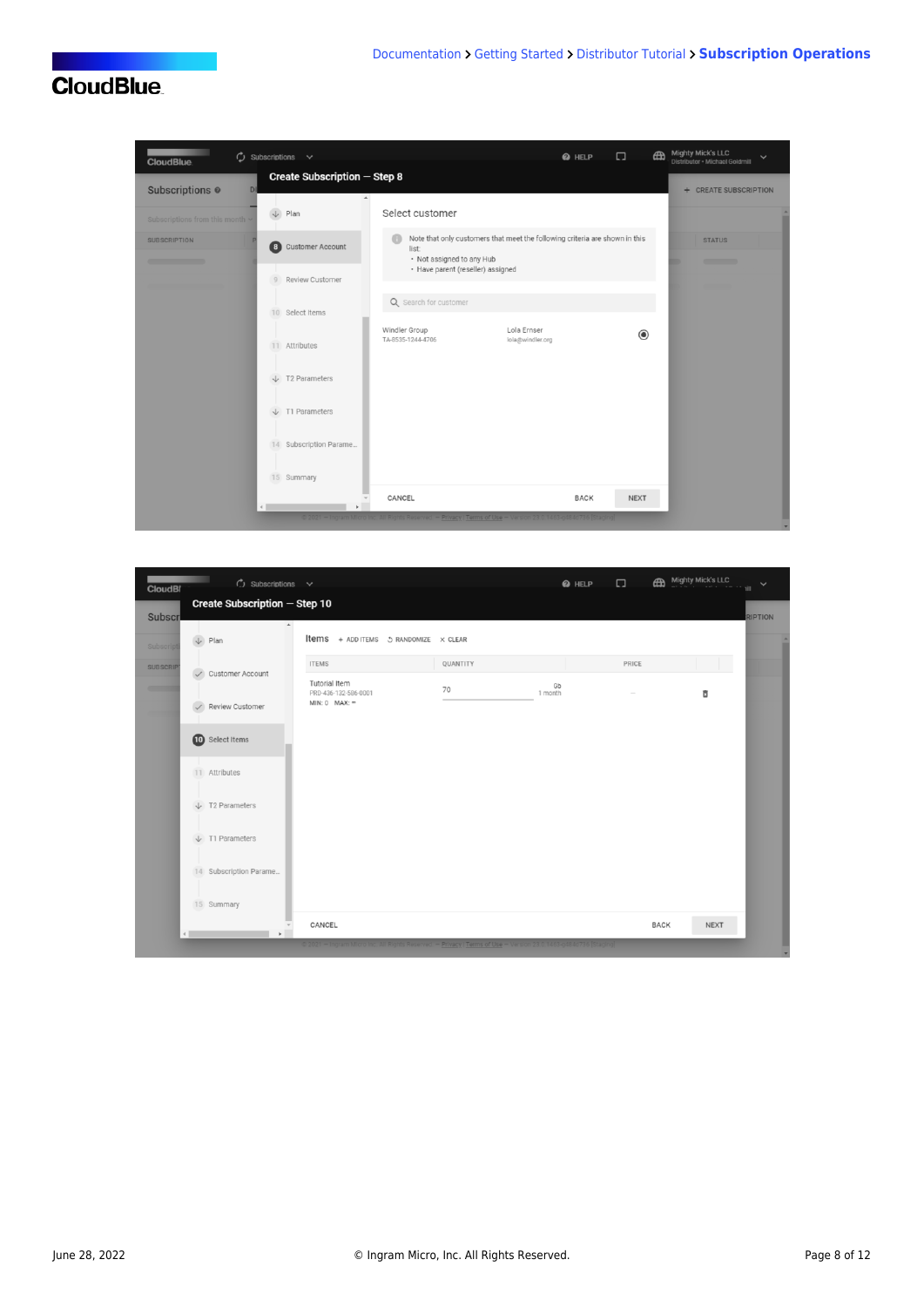

| <b>CloudBI</b>  | $\vec{C}$ Subscriptions $\vee$                    |                                                                                                                         |          | @ HELP        | $\bigoplus$<br>$\Box$ | Mighty Mick's LLC<br>$\checkmark$<br>vill |
|-----------------|---------------------------------------------------|-------------------------------------------------------------------------------------------------------------------------|----------|---------------|-----------------------|-------------------------------------------|
| <b>Subscr</b>   | Create Subscription - Step 10<br>$\blacktriangle$ |                                                                                                                         |          |               |                       | RIPTION                                   |
| Subscript       | $\downarrow$<br>Plan                              | <b>Items</b> + ADD ITEMS $\bigcirc$ RANDOMIZE $\times$ CLEAR                                                            |          |               |                       |                                           |
| <b>SUBSCRIP</b> | Customer Account                                  | <b>ITEMS</b>                                                                                                            | QUANTITY |               | PRICE                 |                                           |
|                 | Review Customer                                   | Tutorial Item<br>PRD-436-132-586-0001<br>MIN: $0$ MAX: $\infty$                                                         | 70       | Gb<br>1 month |                       | ū                                         |
|                 | <b>10</b> Select Items                            |                                                                                                                         |          |               |                       |                                           |
|                 | 11 Attributes                                     |                                                                                                                         |          |               |                       |                                           |
|                 | $\sqrt{12}$ Parameters                            |                                                                                                                         |          |               |                       |                                           |
|                 | $\downarrow$ T1 Parameters                        |                                                                                                                         |          |               |                       |                                           |
|                 | 14 Subscription Parame                            |                                                                                                                         |          |               |                       |                                           |
|                 | 15 Summary                                        |                                                                                                                         |          |               |                       |                                           |
|                 | $\mathbf{r}$                                      | CANCEL<br>2021 - Ingram Micro Inc. All Rights Reserved. - Privacy   Terms of Use - Version 23.0.1463-9484d736 [Staging] |          |               | <b>BACK</b>           | <b>NEXT</b>                               |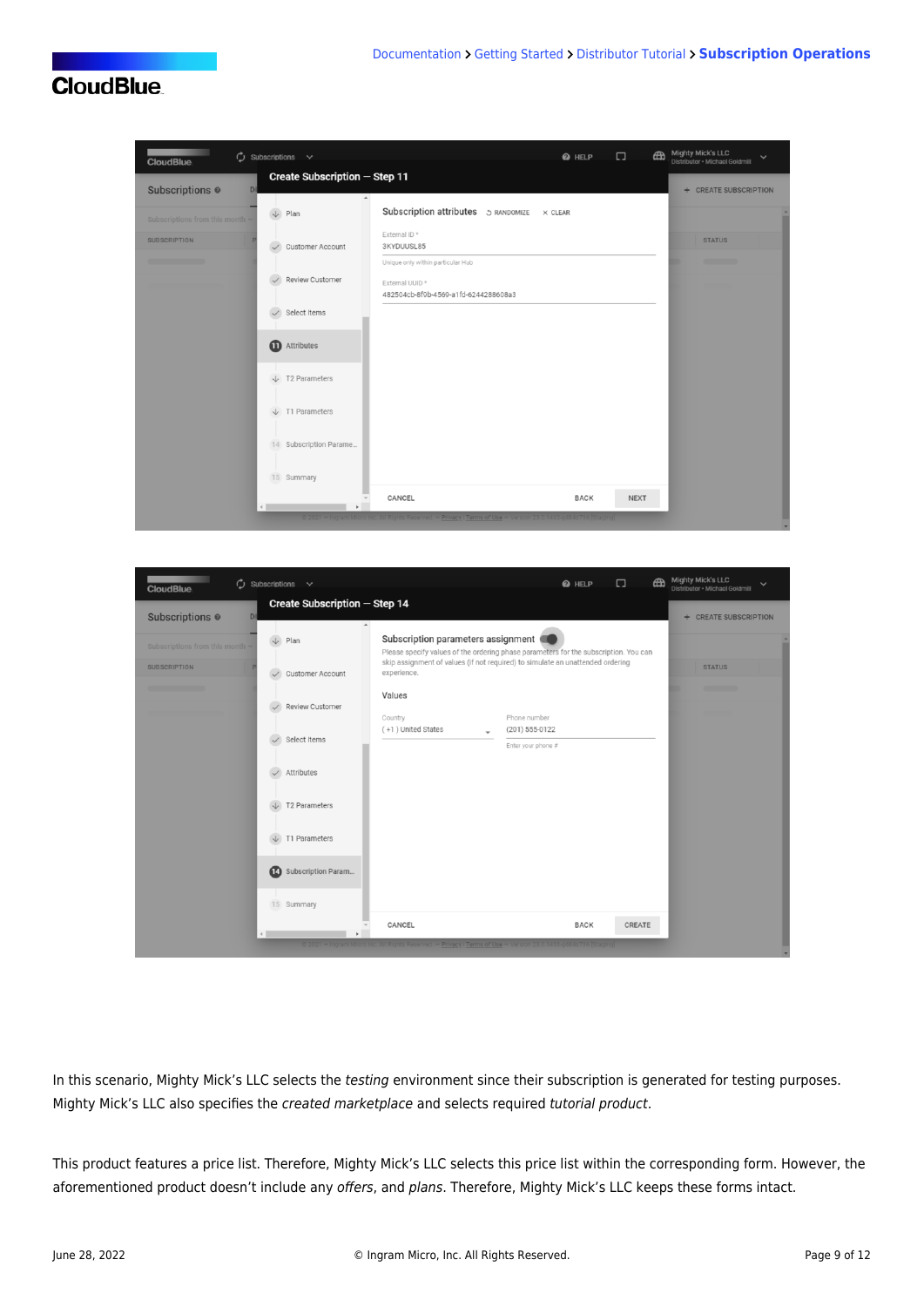| <b>CloudBlue</b>                | $\bigcirc$ Subscriptions $\vee$                                                                                 | <b>⊕</b><br>$\Box$<br>@ HELP | <b>Mighty Mick's LLC</b><br>$\checkmark$<br>Distributor · Michael Goldmill |
|---------------------------------|-----------------------------------------------------------------------------------------------------------------|------------------------------|----------------------------------------------------------------------------|
| Subscriptions <sup>o</sup>      | <b>Create Subscription - Step 11</b><br>D<br>$\blacktriangle$                                                   |                              | + CREATE SUBSCRIPTION                                                      |
| Subscriptions from this month ~ | Subscription attributes 5 RANDOMIZE<br>$\downarrow$ Plan                                                        | $\times$ CLEAR               |                                                                            |
| <b>SUBSCRIPTION</b>             | External ID *<br>3KYDUUSL85<br>$\overline{\mathscr{L}}$<br>Customer Account                                     |                              | <b>STATUS</b>                                                              |
|                                 | Unique only within particular Hub<br>Review Customer<br>External UUID *<br>482504cb-8f9b-4569-a1fd-6244288608a3 |                              | <b>Contract Contract</b>                                                   |
|                                 | Select Items<br>$\checkmark$                                                                                    |                              |                                                                            |
|                                 | ⋒<br>Attributes                                                                                                 |                              |                                                                            |
|                                 | $\sqrt{12}$ Parameters                                                                                          |                              |                                                                            |
|                                 | $\downarrow$ T1 Parameters                                                                                      |                              |                                                                            |
|                                 | 14 Subscription Parame                                                                                          |                              |                                                                            |
|                                 | 15 Summary                                                                                                      |                              |                                                                            |
|                                 | CANCEL                                                                                                          | <b>BACK</b><br><b>NEXT</b>   |                                                                            |
|                                 | © 2021 - Ingram Micro Inc. All Rights Reserved. - Privacy   Terms of Use - Version 23.0.1463-g484d736 [Staging] |                              |                                                                            |

| <b>CloudBlue</b>                | Ò            | Subscriptions v               |                                                                                                                            |                                                                 | @ HELP      | $\Box$ | ⊕ | <b>Mighty Mick's LLC</b><br>Distributor . Michael Goldmill |  |
|---------------------------------|--------------|-------------------------------|----------------------------------------------------------------------------------------------------------------------------|-----------------------------------------------------------------|-------------|--------|---|------------------------------------------------------------|--|
| Subscriptions <sup>®</sup>      | D1           | Create Subscription - Step 14 |                                                                                                                            |                                                                 |             |        |   | + CREATE SUBSCRIPTION                                      |  |
| Subscriptions from this month v | $\downarrow$ | Plan                          | Subscription parameters assignment<br>Please specify values of the ordering phase parameters for the subscription. You can |                                                                 |             |        |   |                                                            |  |
| <b>SUBSCRIPTION</b>             | $\checkmark$ | <b>Customer Account</b>       | skip assignment of values (if not required) to simulate an unattended ordering<br>experience.                              |                                                                 |             |        |   | <b>STATUS</b>                                              |  |
|                                 |              | Review Customer               | Values<br>Country                                                                                                          | Phone number                                                    |             |        |   | and the state                                              |  |
|                                 |              | Select Items                  | (+1) United States                                                                                                         | (201) 555-0122<br>Enter your phone #                            |             |        |   |                                                            |  |
|                                 |              | Attributes                    |                                                                                                                            |                                                                 |             |        |   |                                                            |  |
|                                 |              | T2 Parameters                 |                                                                                                                            |                                                                 |             |        |   |                                                            |  |
|                                 |              | T1 Parameters                 |                                                                                                                            |                                                                 |             |        |   |                                                            |  |
|                                 | ⋒            | Subscription Param            |                                                                                                                            |                                                                 |             |        |   |                                                            |  |
|                                 |              | 15 Summary                    |                                                                                                                            |                                                                 |             |        |   |                                                            |  |
|                                 | ∢ I          |                               | CANCEL                                                                                                                     |                                                                 | <b>BACK</b> | CREATE |   |                                                            |  |
|                                 |              |                               | 2021 - Ingram Micro Inc. All Rights Reserved.                                                                              | - Privacy   Terms of Use - Version 23.0.1463-0484d736   Staging |             |        |   |                                                            |  |

In this scenario, Mighty Mick's LLC selects the testing environment since their subscription is generated for testing purposes. Mighty Mick's LLC also specifies the created marketplace and selects required tutorial product.

This product features a price list. Therefore, Mighty Mick's LLC selects this price list within the corresponding form. However, the aforementioned product doesn't include any offers, and plans. Therefore, Mighty Mick's LLC keeps these forms intact.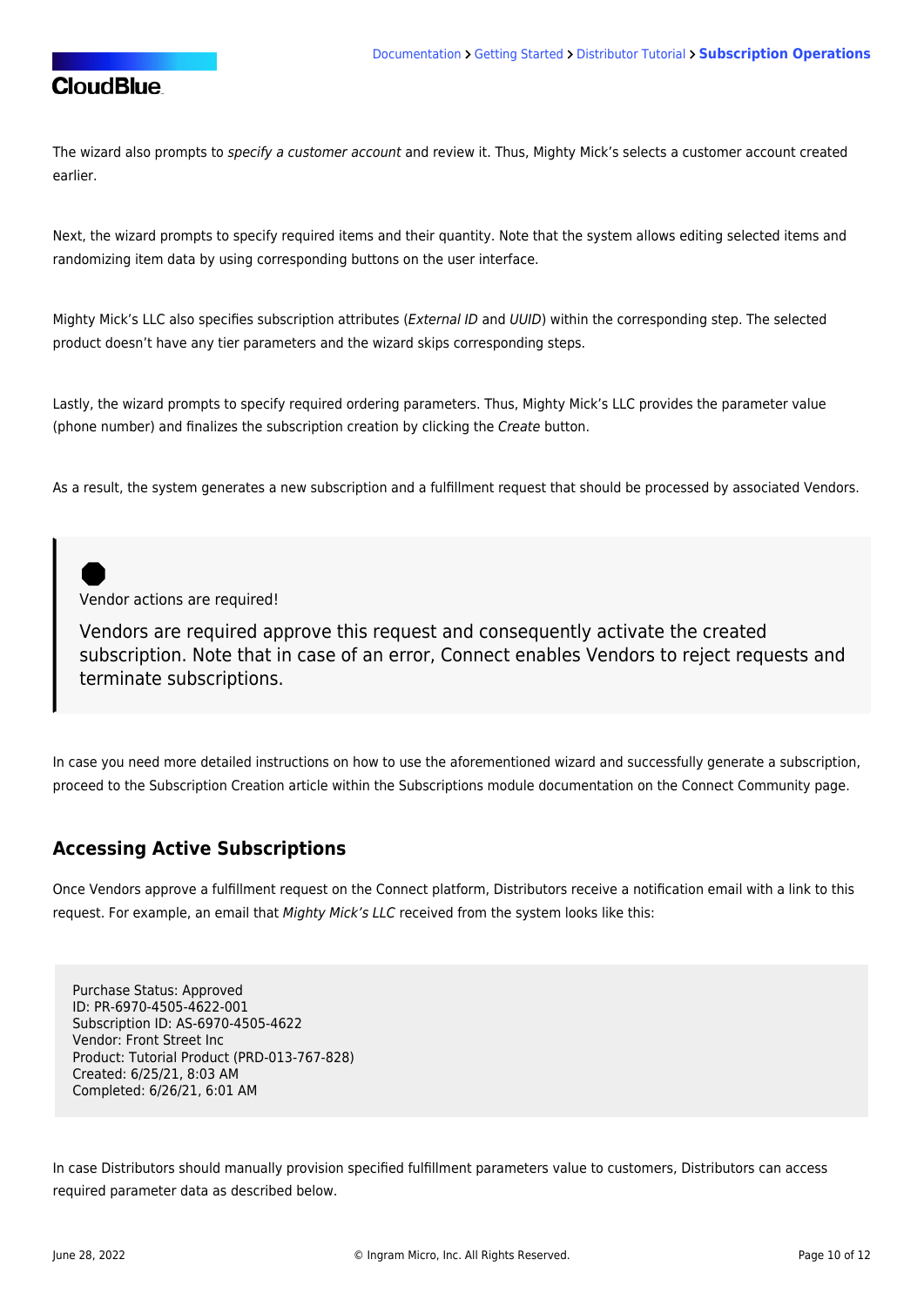The wizard also prompts to specify a customer account and review it. Thus, Mighty Mick's selects a customer account created earlier.

Next, the wizard prompts to specify required items and their quantity. Note that the system allows editing selected items and randomizing item data by using corresponding buttons on the user interface.

Mighty Mick's LLC also specifies subscription attributes (External ID and UUID) within the corresponding step. The selected product doesn't have any tier parameters and the wizard skips corresponding steps.

Lastly, the wizard prompts to specify required ordering parameters. Thus, Mighty Mick's LLC provides the parameter value (phone number) and finalizes the subscription creation by clicking the Create button.

As a result, the system generates a new subscription and a fulfillment request that should be processed by associated Vendors.



Vendor actions are required!

Vendors are required approve this request and consequently activate the created subscription. Note that in case of an error, Connect enables Vendors to reject requests and terminate subscriptions.

In case you need more detailed instructions on how to use the aforementioned wizard and successfully generate a subscription, proceed to the [Subscription Creation](https://connect.cloudblue.com/community/modules/subscriptions/user-interface/subscription-creation/) article within the Subscriptions module documentation on the Connect Community page.

### **Accessing Active Subscriptions**

Once Vendors approve a fulfillment request on the Connect platform, Distributors receive a notification email with a link to this request. For example, an email that Mighty Mick's LLC received from the system looks like this:

Purchase Status: Approved ID: [PR-6970-4505-4622-001](https://connect.cloudblue.com/community/getting-started/vendor/product-definition/) Subscription ID: [AS-6970-4505-4622](https://connect.cloudblue.com/community/getting-started/distributor/subscriptions/#Subscription_Creation) Vendor: [Front Street Inc](https://connect.cloudblue.com/community/getting-started/vendor/#Portal_Activation) Product: Tutorial Product (PRD-013-767-828) Created: 6/25/21, 8:03 AM Completed: 6/26/21, 6:01 AM

In case Distributors should manually provision specified fulfillment parameters value to customers, Distributors can access required parameter data as described below.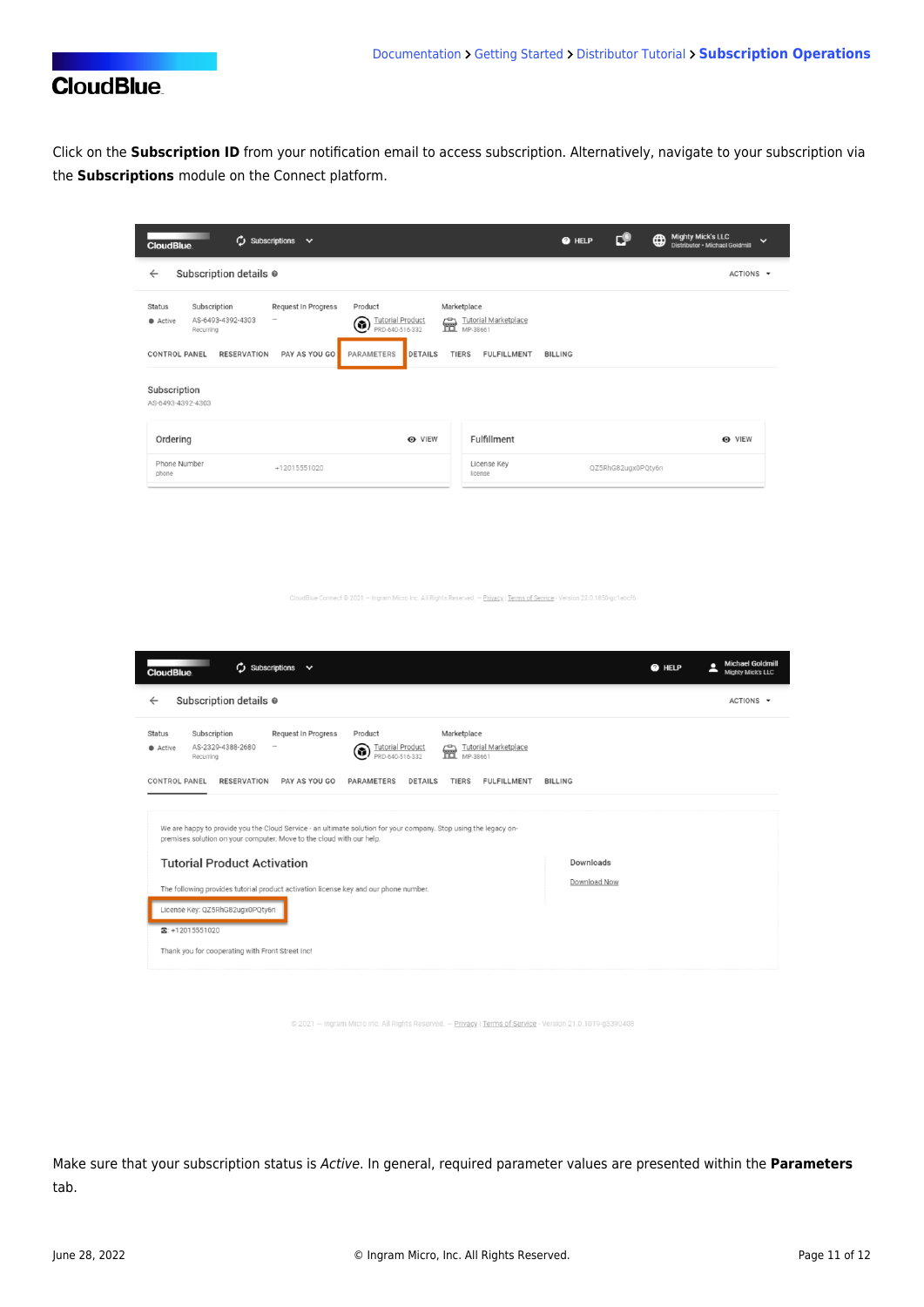Click on the **Subscription ID** from your notification email to access subscription. Alternatively, navigate to your subscription via the **Subscriptions** module on the Connect platform.

| $\leftarrow$<br>Subscription details $\bullet$<br>ACTIONS -<br>Status<br>Subscription<br>Request In Progress<br>Product<br>Marketplace<br>AS-6493-4392-4303<br>Tutorial Product<br>壸<br><b>Tutorial Marketplace</b><br>Active<br>۰<br>PRD-640-516-332<br>MP-38661<br>Recurring<br><b>CONTROL PANEL</b><br><b>RESERVATION</b><br>PAY AS YOU GO<br>PARAMETERS<br><b>DETAILS</b><br><b>TIERS</b><br><b>FULFILLMENT</b><br><b>BILLING</b><br>Subscription<br>AS-6493-4392-4303<br>Ordering<br>O VIEW<br>Fulfillment<br>O VIEW<br>Phone Number<br>License Key<br>+12015551020<br>QZ5RhG82ugx0PQty6n<br>phone<br>license<br>CloudBlue Connect @ 2021 - Ingram Micro Inc. All Rights Reserved. - Privacy   Terms of Service - Version 22.0.1850-gc1ebcf6<br><b>Michael Goldmill</b><br>$\omega$ Subscriptions $\sim$<br>@ HELP<br>₽<br><b>CloudBlue</b><br><b>Mighty Mick's LLC</b><br>$\leftarrow$<br>Subscription details $\bullet$<br>ACTIONS -<br>Status<br>Subscription<br>Request In Progress<br>Product<br>Marketplace<br>AS-2329-4388-2680<br><b>Tutorial Product</b><br>Tutorial Marketplace<br>Active<br>G<br>Recurring<br>PRD-640-516-332<br>MP-38661<br><b>CONTROL PANEL</b><br>RESERVATION PAY AS YOU GO<br>PARAMETERS<br>DETAILS TIERS<br><b>FULFILLMENT</b><br><b>BILLING</b><br>We are happy to provide you the Cloud Service - an ultimate solution for your company. Stop using the legacy on-<br>premises solution on your computer. Move to the cloud with our help.<br><b>Tutorial Product Activation</b><br>Downloads<br>Download Now<br>The following provides tutorial product activation license key and our phone number.<br>License Key: QZ5RhG82ugx0PQty6n<br>$\mathbf{2}: +12015551020$<br>Thank you for cooperating with Front Street Inc! |  |  | @ HELP | ∰ | <b>Mighty Mick's LLC</b><br>Distributor · Michael Goldmill | $\check{ }$ |
|-------------------------------------------------------------------------------------------------------------------------------------------------------------------------------------------------------------------------------------------------------------------------------------------------------------------------------------------------------------------------------------------------------------------------------------------------------------------------------------------------------------------------------------------------------------------------------------------------------------------------------------------------------------------------------------------------------------------------------------------------------------------------------------------------------------------------------------------------------------------------------------------------------------------------------------------------------------------------------------------------------------------------------------------------------------------------------------------------------------------------------------------------------------------------------------------------------------------------------------------------------------------------------------------------------------------------------------------------------------------------------------------------------------------------------------------------------------------------------------------------------------------------------------------------------------------------------------------------------------------------------------------------------------------------------------------------------------------------------------------------------------------|--|--|--------|---|------------------------------------------------------------|-------------|
|                                                                                                                                                                                                                                                                                                                                                                                                                                                                                                                                                                                                                                                                                                                                                                                                                                                                                                                                                                                                                                                                                                                                                                                                                                                                                                                                                                                                                                                                                                                                                                                                                                                                                                                                                                   |  |  |        |   |                                                            |             |
|                                                                                                                                                                                                                                                                                                                                                                                                                                                                                                                                                                                                                                                                                                                                                                                                                                                                                                                                                                                                                                                                                                                                                                                                                                                                                                                                                                                                                                                                                                                                                                                                                                                                                                                                                                   |  |  |        |   |                                                            |             |
|                                                                                                                                                                                                                                                                                                                                                                                                                                                                                                                                                                                                                                                                                                                                                                                                                                                                                                                                                                                                                                                                                                                                                                                                                                                                                                                                                                                                                                                                                                                                                                                                                                                                                                                                                                   |  |  |        |   |                                                            |             |
|                                                                                                                                                                                                                                                                                                                                                                                                                                                                                                                                                                                                                                                                                                                                                                                                                                                                                                                                                                                                                                                                                                                                                                                                                                                                                                                                                                                                                                                                                                                                                                                                                                                                                                                                                                   |  |  |        |   |                                                            |             |
|                                                                                                                                                                                                                                                                                                                                                                                                                                                                                                                                                                                                                                                                                                                                                                                                                                                                                                                                                                                                                                                                                                                                                                                                                                                                                                                                                                                                                                                                                                                                                                                                                                                                                                                                                                   |  |  |        |   |                                                            |             |
|                                                                                                                                                                                                                                                                                                                                                                                                                                                                                                                                                                                                                                                                                                                                                                                                                                                                                                                                                                                                                                                                                                                                                                                                                                                                                                                                                                                                                                                                                                                                                                                                                                                                                                                                                                   |  |  |        |   |                                                            |             |
|                                                                                                                                                                                                                                                                                                                                                                                                                                                                                                                                                                                                                                                                                                                                                                                                                                                                                                                                                                                                                                                                                                                                                                                                                                                                                                                                                                                                                                                                                                                                                                                                                                                                                                                                                                   |  |  |        |   |                                                            |             |
|                                                                                                                                                                                                                                                                                                                                                                                                                                                                                                                                                                                                                                                                                                                                                                                                                                                                                                                                                                                                                                                                                                                                                                                                                                                                                                                                                                                                                                                                                                                                                                                                                                                                                                                                                                   |  |  |        |   |                                                            |             |
|                                                                                                                                                                                                                                                                                                                                                                                                                                                                                                                                                                                                                                                                                                                                                                                                                                                                                                                                                                                                                                                                                                                                                                                                                                                                                                                                                                                                                                                                                                                                                                                                                                                                                                                                                                   |  |  |        |   |                                                            |             |
|                                                                                                                                                                                                                                                                                                                                                                                                                                                                                                                                                                                                                                                                                                                                                                                                                                                                                                                                                                                                                                                                                                                                                                                                                                                                                                                                                                                                                                                                                                                                                                                                                                                                                                                                                                   |  |  |        |   |                                                            |             |
|                                                                                                                                                                                                                                                                                                                                                                                                                                                                                                                                                                                                                                                                                                                                                                                                                                                                                                                                                                                                                                                                                                                                                                                                                                                                                                                                                                                                                                                                                                                                                                                                                                                                                                                                                                   |  |  |        |   |                                                            |             |
|                                                                                                                                                                                                                                                                                                                                                                                                                                                                                                                                                                                                                                                                                                                                                                                                                                                                                                                                                                                                                                                                                                                                                                                                                                                                                                                                                                                                                                                                                                                                                                                                                                                                                                                                                                   |  |  |        |   |                                                            |             |
|                                                                                                                                                                                                                                                                                                                                                                                                                                                                                                                                                                                                                                                                                                                                                                                                                                                                                                                                                                                                                                                                                                                                                                                                                                                                                                                                                                                                                                                                                                                                                                                                                                                                                                                                                                   |  |  |        |   |                                                            |             |

© 2021 — Ingram Micro Inc. All Rights Reserved. — <u>Privacy</u> | <u>Terms of Service</u> - Version 21.0.1019-g3390408

Make sure that your subscription status is Active. In general, required parameter values are presented within the **Parameters** tab.